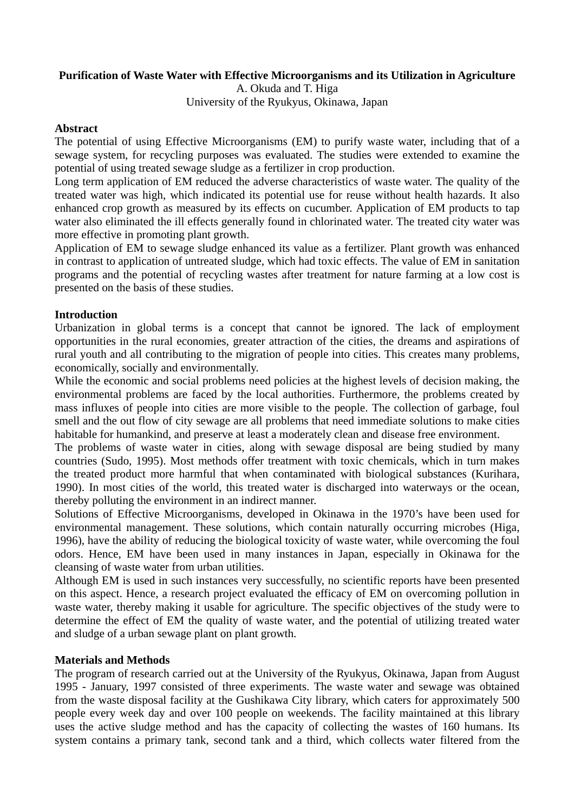### **Purification of Waste Water with Effective Microorganisms and its Utilization in Agriculture**

A. Okuda and T. Higa University of the Ryukyus, Okinawa, Japan

#### **Abstract**

The potential of using Effective Microorganisms (EM) to purify waste water, including that of a sewage system, for recycling purposes was evaluated. The studies were extended to examine the potential of using treated sewage sludge as a fertilizer in crop production.

Long term application of EM reduced the adverse characteristics of waste water. The quality of the treated water was high, which indicated its potential use for reuse without health hazards. It also enhanced crop growth as measured by its effects on cucumber. Application of EM products to tap water also eliminated the ill effects generally found in chlorinated water. The treated city water was more effective in promoting plant growth.

Application of EM to sewage sludge enhanced its value as a fertilizer. Plant growth was enhanced in contrast to application of untreated sludge, which had toxic effects. The value of EM in sanitation programs and the potential of recycling wastes after treatment for nature farming at a low cost is presented on the basis of these studies.

### **Introduction**

Urbanization in global terms is a concept that cannot be ignored. The lack of employment opportunities in the rural economies, greater attraction of the cities, the dreams and aspirations of rural youth and all contributing to the migration of people into cities. This creates many problems, economically, socially and environmentally.

While the economic and social problems need policies at the highest levels of decision making, the environmental problems are faced by the local authorities. Furthermore, the problems created by mass influxes of people into cities are more visible to the people. The collection of garbage, foul smell and the out flow of city sewage are all problems that need immediate solutions to make cities habitable for humankind, and preserve at least a moderately clean and disease free environment.

The problems of waste water in cities, along with sewage disposal are being studied by many countries (Sudo, 1995). Most methods offer treatment with toxic chemicals, which in turn makes the treated product more harmful that when contaminated with biological substances (Kurihara, 1990). In most cities of the world, this treated water is discharged into waterways or the ocean, thereby polluting the environment in an indirect manner.

Solutions of Effective Microorganisms, developed in Okinawa in the 1970's have been used for environmental management. These solutions, which contain naturally occurring microbes (Higa, 1996), have the ability of reducing the biological toxicity of waste water, while overcoming the foul odors. Hence, EM have been used in many instances in Japan, especially in Okinawa for the cleansing of waste water from urban utilities.

Although EM is used in such instances very successfully, no scientific reports have been presented on this aspect. Hence, a research project evaluated the efficacy of EM on overcoming pollution in waste water, thereby making it usable for agriculture. The specific objectives of the study were to determine the effect of EM the quality of waste water, and the potential of utilizing treated water and sludge of a urban sewage plant on plant growth.

### **Materials and Methods**

The program of research carried out at the University of the Ryukyus, Okinawa, Japan from August 1995 - January, 1997 consisted of three experiments. The waste water and sewage was obtained from the waste disposal facility at the Gushikawa City library, which caters for approximately 500 people every week day and over 100 people on weekends. The facility maintained at this library uses the active sludge method and has the capacity of collecting the wastes of 160 humans. Its system contains a primary tank, second tank and a third, which collects water filtered from the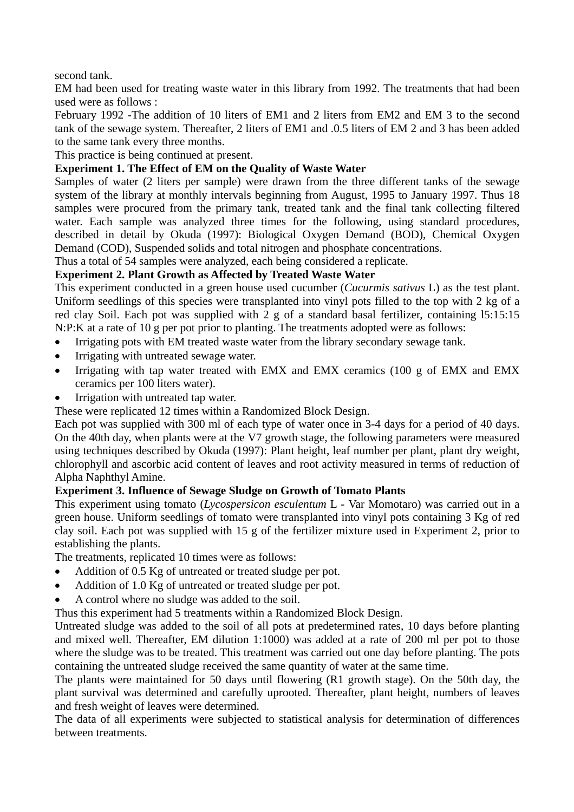second tank.

EM had been used for treating waste water in this library from 1992. The treatments that had been used were as follows :

February 1992 -The addition of 10 liters of EM1 and 2 liters from EM2 and EM 3 to the second tank of the sewage system. Thereafter, 2 liters of EM1 and .0.5 liters of EM 2 and 3 has been added to the same tank every three months.

This practice is being continued at present.

# **Experiment 1. The Effect of EM on the Quality of Waste Water**

Samples of water (2 liters per sample) were drawn from the three different tanks of the sewage system of the library at monthly intervals beginning from August, 1995 to January 1997. Thus 18 samples were procured from the primary tank, treated tank and the final tank collecting filtered water. Each sample was analyzed three times for the following, using standard procedures, described in detail by Okuda (1997): Biological Oxygen Demand (BOD), Chemical Oxygen Demand (COD), Suspended solids and total nitrogen and phosphate concentrations.

Thus a total of 54 samples were analyzed, each being considered a replicate.

## **Experiment 2. Plant Growth as Affected by Treated Waste Water**

This experiment conducted in a green house used cucumber (*Cucurmis sativus* L) as the test plant. Uniform seedlings of this species were transplanted into vinyl pots filled to the top with 2 kg of a red clay Soil. Each pot was supplied with 2 g of a standard basal fertilizer, containing l5:15:15 N:P:K at a rate of 10 g per pot prior to planting. The treatments adopted were as follows:

- Irrigating pots with EM treated waste water from the library secondary sewage tank.
- Irrigating with untreated sewage water.
- Irrigating with tap water treated with EMX and EMX ceramics (100 g of EMX and EMX ceramics per 100 liters water).
- Irrigation with untreated tap water.

These were replicated 12 times within a Randomized Block Design.

Each pot was supplied with 300 ml of each type of water once in 3-4 days for a period of 40 days. On the 40th day, when plants were at the V7 growth stage, the following parameters were measured using techniques described by Okuda (1997): Plant height, leaf number per plant, plant dry weight, chlorophyll and ascorbic acid content of leaves and root activity measured in terms of reduction of Alpha Naphthyl Amine.

## **Experiment 3. Influence of Sewage Sludge on Growth of Tomato Plants**

This experiment using tomato (*Lycospersicon esculentum* L - Var Momotaro) was carried out in a green house. Uniform seedlings of tomato were transplanted into vinyl pots containing 3 Kg of red clay soil. Each pot was supplied with 15 g of the fertilizer mixture used in Experiment 2, prior to establishing the plants.

The treatments, replicated 10 times were as follows:

- Addition of 0.5 Kg of untreated or treated sludge per pot.
- Addition of 1.0 Kg of untreated or treated sludge per pot.
- A control where no sludge was added to the soil.

Thus this experiment had 5 treatments within a Randomized Block Design.

Untreated sludge was added to the soil of all pots at predetermined rates, 10 days before planting and mixed well. Thereafter, EM dilution 1:1000) was added at a rate of 200 ml per pot to those where the sludge was to be treated. This treatment was carried out one day before planting. The pots containing the untreated sludge received the same quantity of water at the same time.

The plants were maintained for 50 days until flowering (R1 growth stage). On the 50th day, the plant survival was determined and carefully uprooted. Thereafter, plant height, numbers of leaves and fresh weight of leaves were determined.

The data of all experiments were subjected to statistical analysis for determination of differences between treatments.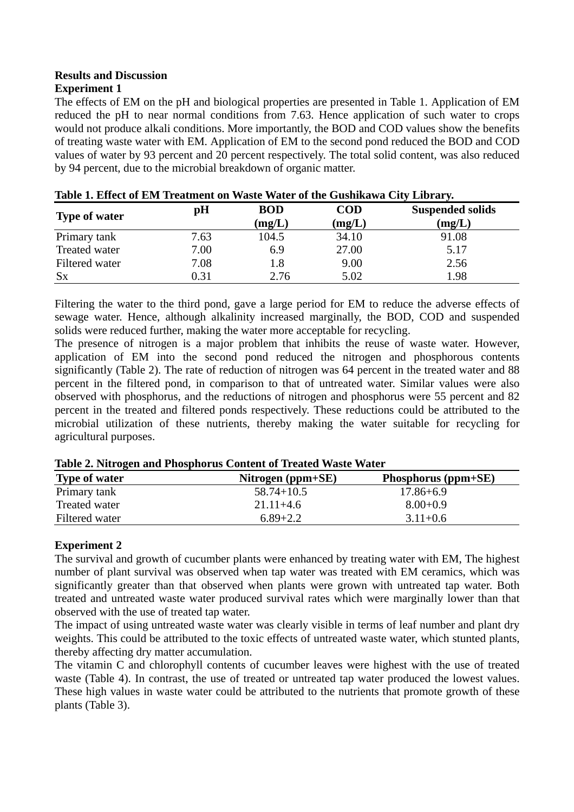# **Results and Discussion**

# **Experiment 1**

The effects of EM on the pH and biological properties are presented in Table 1. Application of EM reduced the pH to near normal conditions from 7.63. Hence application of such water to crops would not produce alkali conditions. More importantly, the BOD and COD values show the benefits of treating waste water with EM. Application of EM to the second pond reduced the BOD and COD values of water by 93 percent and 20 percent respectively. The total solid content, was also reduced by 94 percent, due to the microbial breakdown of organic matter.

| <b>Type of water</b> | pH   | <b>BOD</b><br>(mg/L) | <b>COD</b><br>(mg/L) | <b>Suspended solids</b><br>(mg/L) |
|----------------------|------|----------------------|----------------------|-----------------------------------|
| Primary tank         | 7.63 | 104.5                | 34.10                | 91.08                             |
| Treated water        | 7.00 | 6.9                  | 27.00                | 5.17                              |
| Filtered water       | 7.08 | 1.8                  | 9.00                 | 2.56                              |
| $S_{X}$              | 0.31 | 2.76                 | 5.02                 | 1.98                              |

| Table 1. Effect of EM Treatment on Waste Water of the Gushikawa City Library. |
|-------------------------------------------------------------------------------|
|-------------------------------------------------------------------------------|

Filtering the water to the third pond, gave a large period for EM to reduce the adverse effects of sewage water. Hence, although alkalinity increased marginally, the BOD, COD and suspended solids were reduced further, making the water more acceptable for recycling.

The presence of nitrogen is a major problem that inhibits the reuse of waste water. However, application of EM into the second pond reduced the nitrogen and phosphorous contents significantly (Table 2). The rate of reduction of nitrogen was 64 percent in the treated water and 88 percent in the filtered pond, in comparison to that of untreated water. Similar values were also observed with phosphorus, and the reductions of nitrogen and phosphorus were 55 percent and 82 percent in the treated and filtered ponds respectively. These reductions could be attributed to the microbial utilization of these nutrients, thereby making the water suitable for recycling for agricultural purposes.

| Table 2. Full ogen and I hosphorus Content of Treated waste water |                     |                       |  |
|-------------------------------------------------------------------|---------------------|-----------------------|--|
| <b>Type of water</b>                                              | Nitrogen $(ppm+SE)$ | Phosphorus $(ppm+SE)$ |  |
| Primary tank                                                      | $58.74 + 10.5$      | $17.86 + 6.9$         |  |
| Treated water                                                     | $21.11 + 4.6$       | $8.00 + 0.9$          |  |
| Filtered water                                                    | $6.89 + 2.2$        | $3.11 + 0.6$          |  |

**Table 2. Nitrogen and Phosphorus Content of Treated Waste Water** 

# **Experiment 2**

The survival and growth of cucumber plants were enhanced by treating water with EM, The highest number of plant survival was observed when tap water was treated with EM ceramics, which was significantly greater than that observed when plants were grown with untreated tap water. Both treated and untreated waste water produced survival rates which were marginally lower than that observed with the use of treated tap water.

The impact of using untreated waste water was clearly visible in terms of leaf number and plant dry weights. This could be attributed to the toxic effects of untreated waste water, which stunted plants, thereby affecting dry matter accumulation.

The vitamin C and chlorophyll contents of cucumber leaves were highest with the use of treated waste (Table 4). In contrast, the use of treated or untreated tap water produced the lowest values. These high values in waste water could be attributed to the nutrients that promote growth of these plants (Table 3).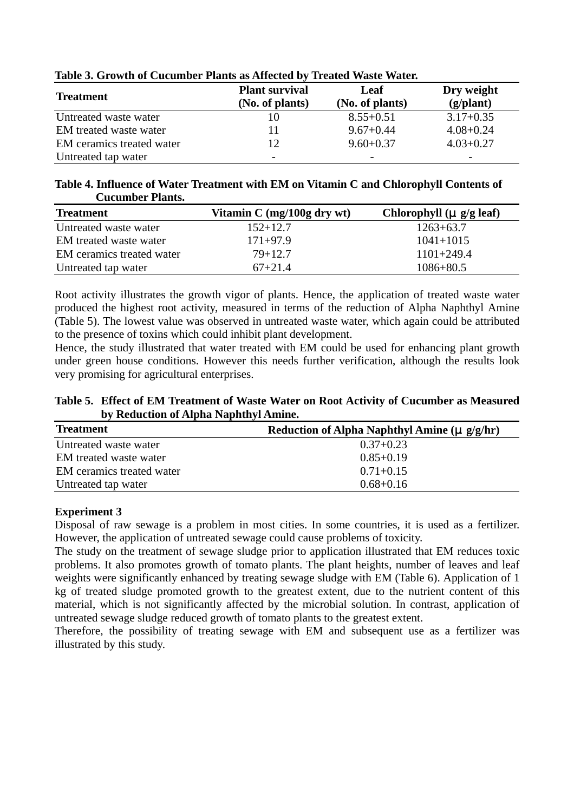| THOIC OF OTO WELL OF CHUMMING I IMMINI WAS LIMBUOUGH TO |                                          |                         |                                  |
|---------------------------------------------------------|------------------------------------------|-------------------------|----------------------------------|
| <b>Treatment</b>                                        | <b>Plant survival</b><br>(No. of plants) | Leaf<br>(No. of plants) | Dry weight<br>$(g/\text{plant})$ |
| Untreated waste water                                   |                                          | $8.55 + 0.51$           | $3.17 + 0.35$                    |
| EM treated waste water                                  |                                          | $9.67 + 0.44$           | $4.08 + 0.24$                    |
| EM ceramics treated water                               | 12                                       | $9.60 + 0.37$           | $4.03 + 0.27$                    |
| Untreated tap water                                     |                                          |                         |                                  |

### **Table 3. Growth of Cucumber Plants as Affected by Treated Waste Water.**

### **Table 4. Influence of Water Treatment with EM on Vitamin C and Chlorophyll Contents of Cucumber Plants.**

| <b>Treatment</b>          | Vitamin $C \frac{mg}{100g}$ dry wt | Chlorophyll $(\mu g/g \text{ leaf})$ |
|---------------------------|------------------------------------|--------------------------------------|
| Untreated waste water     | $152+12.7$                         | $1263+63.7$                          |
| EM treated waste water    | $171 + 97.9$                       | $1041 + 1015$                        |
| EM ceramics treated water | $79 + 12.7$                        | $1101 + 249.4$                       |
| Untreated tap water       | $67 + 21.4$                        | $1086 + 80.5$                        |

Root activity illustrates the growth vigor of plants. Hence, the application of treated waste water produced the highest root activity, measured in terms of the reduction of Alpha Naphthyl Amine (Table 5). The lowest value was observed in untreated waste water, which again could be attributed to the presence of toxins which could inhibit plant development.

Hence, the study illustrated that water treated with EM could be used for enhancing plant growth under green house conditions. However this needs further verification, although the results look very promising for agricultural enterprises.

**Table 5. Effect of EM Treatment of Waste Water on Root Activity of Cucumber as Measured by Reduction of Alpha Naphthyl Amine.** 

| <b>Treatment</b>          | Reduction of Alpha Naphthyl Amine ( $\mu$ g/g/hr) |
|---------------------------|---------------------------------------------------|
| Untreated waste water     | $0.37 + 0.23$                                     |
| EM treated waste water    | $0.85 + 0.19$                                     |
| EM ceramics treated water | $0.71 + 0.15$                                     |
| Untreated tap water       | $0.68 + 0.16$                                     |

## **Experiment 3**

Disposal of raw sewage is a problem in most cities. In some countries, it is used as a fertilizer. However, the application of untreated sewage could cause problems of toxicity.

The study on the treatment of sewage sludge prior to application illustrated that EM reduces toxic problems. It also promotes growth of tomato plants. The plant heights, number of leaves and leaf weights were significantly enhanced by treating sewage sludge with EM (Table 6). Application of 1 kg of treated sludge promoted growth to the greatest extent, due to the nutrient content of this material, which is not significantly affected by the microbial solution. In contrast, application of untreated sewage sludge reduced growth of tomato plants to the greatest extent.

Therefore, the possibility of treating sewage with EM and subsequent use as a fertilizer was illustrated by this study.